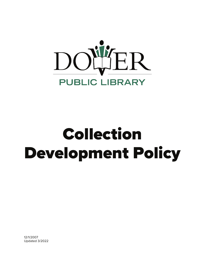

# Collection Development Policy

12/1/2007 Updated 3/2022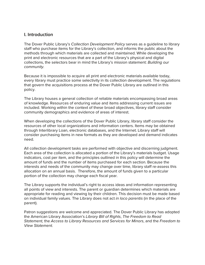#### **I. Introduction**

The Dover Public Library's *Collection Development Policy* serves as a guideline to library staff who purchase items for the Library's collection, and informs the public about the methods through which materials are collected and maintained. While developing the print and electronic resources that are a part of the Library's physical and digital collections, the selectors bear in mind the Library's mission statement: *Building our community.*

Because it is impossible to acquire all print and electronic materials available today, every library must practice some selectivity in its collection development. The regulations that govern the acquisitions process at the Dover Public Library are outlined in this policy.

The Library houses a general collection of reliable materials encompassing broad areas of knowledge. Resources of enduring value and items addressing current issues are included. Working within the context of these broad objectives, library staff consider community demographics and evidence of areas of interest.

When developing the collections of the Dover Public Library, library staff consider the resources of other local organizations and information centers. Items may be obtained through Interlibrary Loan, electronic databases, and the Internet. Library staff will consider purchasing items in new formats as they are developed and demand indicates need.

All collection development tasks are performed with objective and discerning judgment. Each area of the collection is allocated a portion of the Library's materials budget. Usage indicators, cost per item, and the principles outlined in this policy will determine the amount of funds and the number of items purchased for each section. Because the interests and needs of the community may change over time, library staff re-assess this allocation on an annual basis. Therefore, the amount of funds given to a particular portion of the collection may change each fiscal year.

The Library supports the individual's right to access ideas and information representing all points of view and interests. The parent or guardian determines which materials are appropriate for reading and viewing by their children. This decision must be made based on individual family values. The Library does not act *in loco parentis* (in the place of the parent).

Patron suggestions are welcome and appreciated. The Dover Public Library has adopted the American Library Association's *Library Bill of Rights*, *The Freedom to Read Statement,* the *Access to Library Resources and Services for Minors*, and the *Freedom to View Statement*.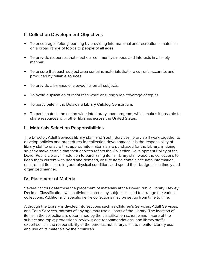## **II. Collection Development Objectives**

- To encourage lifelong learning by providing informational and recreational materials on a broad range of topics to people of all ages.
- To provide resources that meet our community's needs and interests in a timely manner.
- To ensure that each subject area contains materials that are current, accurate, and produced by reliable sources.
- To provide a balance of viewpoints on all subjects.
- To avoid duplication of resources while ensuring wide coverage of topics.
- To participate in the Delaware Library Catalog Consortium.
- To participate in the nation-wide Interlibrary Loan program, which makes it possible to share resources with other libraries across the United States.

#### **III. Materials Selection Responsibilities**

The Director, Adult Services library staff, and Youth Services library staff work together to develop policies and procedures for collection development. It is the responsibility of library staff to ensure that appropriate materials are purchased for the Library; in doing so, they make certain that their choices reflect the Collection Development Policy of the Dover Public Library. In addition to purchasing items, library staff weed the collections to keep them current with need and demand, ensure items contain accurate information, ensure that items are in good physical condition, and spend their budgets in a timely and organized manner.

#### **IV. Placement of Material**

Several factors determine the placement of materials at the Dover Public Library. Dewey Decimal Classification, which divides material by subject, is used to arrange the various collections. Additionally, specific genre collections may be set up from time to time.

Although the Library is divided into sections such as Children's Services, Adult Services, and Teen Services, patrons of any age may use all parts of the Library. The location of items in the collections is determined by the classification scheme and nature of the subject and topic; professional reviews; age recommendations; and library staff's expertise. It is the responsibility of the parents, not library staff, to monitor Library use and use of its materials by their children.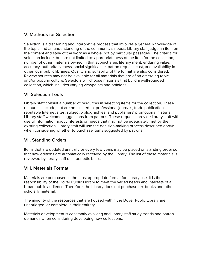## **V. Methods for Selection**

Selection is a discerning and interpretive process that involves a general knowledge of the topic and an understanding of the community's needs. Library staff judge an item on the content and style of the work as a whole, not by particular passages. The criteria for selection include, but are not limited to: appropriateness of the item for the collection, number of other materials owned in that subject area, literary merit, enduring value, accuracy, authoritativeness, social significance, patron request, cost, and availability in other local public libraries. Quality and suitability of the format are also considered. Review sources may not be available for all materials that are of an emerging topic and/or popular culture. Selectors will choose materials that build a well-rounded collection, which includes varying viewpoints and opinions.

### **VI. Selection Tools**

Library staff consult a number of resources in selecting items for the collection. These resources include, but are not limited to: professional journals, trade publications, reputable Internet sites, subject bibliographies, and publishers' promotional material. Library staff welcome suggestions from patrons. These requests provide library staff with useful information about interests or needs that may not be adequately met by the existing collection. Library staff will use the decision-making process described above when considering whether to purchase items suggested by patrons.

#### **VII. Standing Orders**

Items that are updated annually or every few years may be placed on standing order so that new editions are automatically received by the Library. The list of these materials is reviewed by library staff on a periodic basis.

#### **VIII. Materials Format**

Materials are purchased in the most appropriate format for Library use. It is the responsibility of the Dover Public Library to meet the varied needs and interests of a broad public audience. Therefore, the Library does not purchase textbooks and other scholarly material.

The majority of the resources that are housed within the Dover Public Library are unabridged, or complete in their entirety.

Materials development is constantly evolving and library staff study trends and patron demands when considering developing new collections.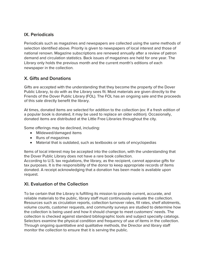## **IX. Periodicals**

Periodicals such as magazines and newspapers are collected using the same methods of selection identified above. Priority is given to newspapers of local interest and those of national renown. Magazine subscriptions are renewed annually after a review of patron demand and circulation statistics. Back issues of magazines are held for one year. The Library only holds the previous month and the current month's editions of each newspaper in the collection.

### **X. Gifts and Donations**

Gifts are accepted with the understanding that they become the property of the Dover Public Library, to do with as the Library sees fit. Most materials are given directly to the Friends of the Dover Public Library (FOL). The FOL has an ongoing sale and the proceeds of this sale directly benefit the library.

At times, donated items are selected for addition to the collection (ex: If a fresh edition of a popular book is donated, it may be used to replace an older edition). Occasionally, donated items are distributed at the Little Free Libraries throughout the city.

Some offerings may be declined, including:

- Mildewed/damaged items
- Runs of magazines
- Material that is outdated, such as textbooks or sets of encyclopedias

Items of local interest may be accepted into the collection, with the understanding that the Dover Public Library does not have a rare book collection.

According to U.S. tax regulations, the library, as the recipient, cannot appraise gifts for tax purposes. It is the responsibility of the donor to keep appropriate records of items donated. A receipt acknowledging that a donation has been made is available upon request.

#### **XI. Evaluation of the Collection**

To be certain that the Library is fulfilling its mission to provide current, accurate, and reliable materials to the public, library staff must continuously evaluate the collection. Resources such as circulation reports, collection turnover rates, fill rates, shelf allotments, volume counts, customer requests, and community surveys are studied to determine how the collection is being used and how it should change to meet customers' needs. The collection is checked against standard bibliographic tools and subject specialty catalogs. Selectors examine the physical condition and frequency of use of items in the collection. Through ongoing quantitative and qualitative methods, the Director and library sta monitor the collection to ensure that it is serving the public.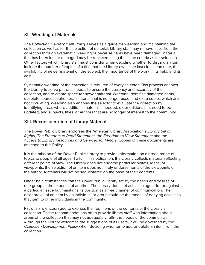### **XII. Weeding of Materials**

The *Collection Development Policy* serves as a guide for weeding and maintaining the collection as well as for the selection of material. Library staff may remove titles from the collection through systematic weeding or because items have been damaged. Material that has been lost or damaged may be replaced using the same criteria as for selection. Other factors which library staff must consider when deciding whether to discard an item include the number of copies of a title that the Library owns, the last circulation date, the availability of newer material on the subject, the importance of the work in its field, and its cost.

Systematic weeding of the collection is required of every selector. This process enables the Library to serve patrons' needs, to ensure the currency and accuracy of the collection, and to create space for newer material. Weeding identifies damaged items, obsolete sources, ephemeral material that is no longer used, and extra copies which are not circulating. Weeding also enables the selector to evaluate the collection by identifying areas where additional material is needed, older editions that need to be updated, and subjects, titles, or authors that are no longer of interest to the community.

#### **XIII. Reconsideration of Library Material**

The Dover Public Library endorses the American Library Association's *Library Bill of Rights*, *The Freedom to Read Statement*, the *Freedom to View Statement* and the *Access to Library Resources and Services for Minors*. Copies of these documents are attached to this Policy.

It is the mission of the Dover Public Library to provide information on a broad range of topics to people of all ages. To fulfill this obligation, the Library collects material reflecting different points of view. The Library does not endorse particular beliefs, ideas, or viewpoints; the selection of an item does not imply endorsements of the viewpoints of the author. Materials will not be sequestered on the basis of their contents.

Under no circumstances can the Dover Public Library satisfy the needs and desires of one group at the expense of another. The Library does not act as an agent for or against a particular issue but maintains its position as a free channel of communication. The disapproval of an item by an individual or group could be the means of denying access to that item to other individuals in the community.

Patrons are encouraged to express their opinions of the contents of the Library's collection. These recommendations often provide library staff with information about areas of the collection that may not adequately fulfill the needs of the community. Although the Library welcomes the suggestions of its users, it will be governed by the *Collection Development Policy* when deciding whether to add or delete an item from the collection.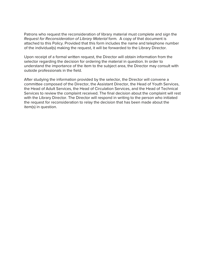Patrons who request the reconsideration of library material must complete and sign the *Request for Reconsideration of Library Material* form*.* A copy of that document is attached to this Policy. Provided that this form includes the name and telephone number of the individual(s) making the request, it will be forwarded to the Library Director.

Upon receipt of a formal written request, the Director will obtain information from the selector regarding the decision for ordering the material in question. In order to understand the importance of the item to the subject area, the Director may consult with outside professionals in the field.

After studying the information provided by the selector, the Director will convene a committee composed of the Director, the Assistant Director, the Head of Youth Services, the Head of Adult Services, the Head of Circulation Services, and the Head of Technical Services to review the complaint received. The final decision about the complaint will rest with the Library Director. The Director will respond in writing to the person who initiated the request for reconsideration to relay the decision that has been made about the item(s) in question.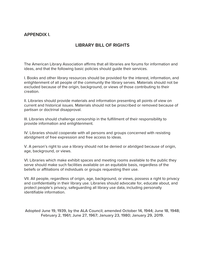#### **APPENDIX I.**

#### **LIBRARY BILL OF RIGHTS**

The American Library Association affirms that all libraries are forums for information and ideas, and that the following basic policies should guide their services.

I. Books and other library resources should be provided for the interest, information, and enlightenment of all people of the community the library serves. Materials should not be excluded because of the origin, background, or views of those contributing to their creation.

II. Libraries should provide materials and information presenting all points of view on current and historical issues. Materials should not be proscribed or removed because of partisan or doctrinal disapproval.

III. Libraries should challenge censorship in the fulfillment of their responsibility to provide information and enlightenment.

IV. Libraries should cooperate with all persons and groups concerned with resisting abridgment of free expression and free access to ideas.

V. A person's right to use a library should not be denied or abridged because of origin, age, background, or views.

VI. Libraries which make exhibit spaces and meeting rooms available to the public they serve should make such facilities available on an equitable basis, regardless of the beliefs or affiliations of individuals or groups requesting their use.

VII. All people, regardless of origin, age, background, or views, possess a right to privacy and confidentiality in their library use. Libraries should advocate for, educate about, and protect people's privacy, safeguarding all library use data, including personally identifiable information.

**Adopted June 19, 1939, by the ALA Council; amended October 14, 1944; June 18, 1948; February 2, 1961; June 27, 1967; January 23, 1980; January 29, 2019.**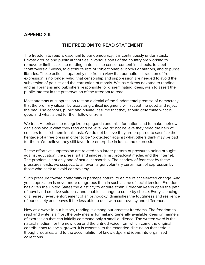#### **APPENDIX II.**

#### **THE FREEDOM TO READ STATEMENT**

The freedom to read is essential to our democracy. It is continuously under attack. Private groups and public authorities in various parts of the country are working to remove or limit access to reading materials, to censor content in schools, to label "controversial" views, to distribute lists of "objectionable" books or authors, and to purge libraries. These actions apparently rise from a view that our national tradition of free expression is no longer valid; that censorship and suppression are needed to avoid the subversion of politics and the corruption of morals. We, as citizens devoted to reading and as librarians and publishers responsible for disseminating ideas, wish to assert the public interest in the preservation of the freedom to read.

Most attempts at suppression rest on a denial of the fundamental premise of democracy: that the ordinary citizen, by exercising critical judgment, will accept the good and reject the bad. The censors, public and private, assume that they should determine what is good and what is bad for their fellow citizens.

We trust Americans to recognize propaganda and misinformation, and to make their own decisions about what they read and believe. We do not believe they need the help of censors to assist them in this task. We do not believe they are prepared to sacrifice their heritage of a free press in order to be "protected" against what others think may be bad for them. We believe they still favor free enterprise in ideas and expression.

These efforts at suppression are related to a larger pattern of pressures being brought against education, the press, art and images, films, broadcast media, and the Internet. The problem is not only one of actual censorship. The shadow of fear cast by these pressures leads, we suspect, to an even larger voluntary curtailment of expression by those who seek to avoid controversy.

Such pressure toward conformity is perhaps natural to a time of accelerated change. And yet suppression is never more dangerous than in such a time of social tension. Freedom has given the United States the elasticity to endure strain. Freedom keeps open the path of novel and creative solutions, and enables change to come by choice. Every silencing of a heresy, every enforcement of an orthodoxy, diminishes the toughness and resilience of our society and leaves it the less able to deal with controversy and difference.

Now as always in our history, reading is among our greatest freedoms. The freedom to read and write is almost the only means for making generally available ideas or manners of expression that can initially command only a small audience. The written word is the natural medium for the new idea and the untried voice from which come the original contributions to social growth. It is essential to the extended discussion that serious thought requires, and to the accumulation of knowledge and ideas into organized collections.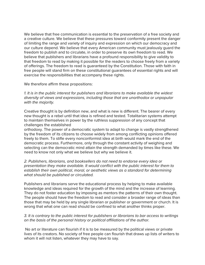We believe that free communication is essential to the preservation of a free society and a creative culture. We believe that these pressures toward conformity present the danger of limiting the range and variety of inquiry and expression on which our democracy and our culture depend. We believe that every American community must jealously guard the freedom to publish and to circulate, in order to preserve its own freedom to read. We believe that publishers and librarians have a profound responsibility to give validity to that freedom to read by making it possible for the readers to choose freely from a variety of offerings. The freedom to read is guaranteed by the Constitution. Those with faith in free people will stand firm on these constitutional guarantees of essential rights and will exercise the responsibilities that accompany these rights.

We therefore affirm these propositions:

*1. It is in the public interest for publishers and librarians to make available the widest diversity of views and expressions, including those that are unorthodox or unpopular with the majority.*

Creative thought is by definition new, and what is new is different. The bearer of every new thought is a rebel until that idea is refined and tested. Totalitarian systems attempt to maintain themselves in power by the ruthless suppression of any concept that challenges the established

orthodoxy. The power of a democratic system to adapt to change is vastly strengthened by the freedom of its citizens to choose widely from among conflicting opinions offered freely to them. To stifle every nonconformist idea at birth would mark the end of the democratic process. Furthermore, only through the constant activity of weighing and selecting can the democratic mind attain the strength demanded by times like these. We need to know not only what we believe but why we believe it.

*2. Publishers, librarians, and booksellers do not need to endorse every idea or presentation they make available. It would conflict with the public interest for them to establish their own political, moral, or aesthetic views as a standard for determining what should be published or circulated.*

Publishers and librarians serve the educational process by helping to make available knowledge and ideas required for the growth of the mind and the increase of learning. They do not foster education by imposing as mentors the patterns of their own thought. The people should have the freedom to read and consider a broader range of ideas than those that may be held by any single librarian or publisher or government or church. It is wrong that what one can read should be confined to what another thinks proper.

#### *3. It is contrary to the public interest for publishers or librarians to bar access to writings on the basis of the personal history or political aliations of the author.*

No art or literature can flourish if it is to be measured by the political views or private lives of its creators. No society of free people can flourish that draws up lists of writers to whom it will not listen, whatever they may have to say.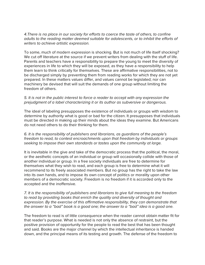*4.There is no place in our society for eorts to coerce the taste of others, to confine adults* to the reading matter deemed suitable for adolescents, or to inhibit the efforts of *writers to achieve artistic expression.*

To some, much of modern expression is shocking. But is not much of life itself shocking? We cut off literature at the source if we prevent writers from dealing with the stuff of life. Parents and teachers have a responsibility to prepare the young to meet the diversity of experiences in life to which they will be exposed, as they have a responsibility to help them learn to think critically for themselves. These are affirmative responsibilities, not to be discharged simply by preventing them from reading works for which they are not yet prepared. In these matters values differ, and values cannot be legislated; nor can machinery be devised that will suit the demands of one group without limiting the freedom of others.

#### *5. It is not in the public interest to force a reader to accept with any expression the prejudgment of a label characterizing it or its author as subversive or dangerous.*

The ideal of labeling presupposes the existence of individuals or groups with wisdom to determine by authority what is good or bad for the citizen. It presupposes that individuals must be directed in making up their minds about the ideas they examine. But Americans do not need others to do their thinking for them.

*6. It is the responsibility of publishers and librarians, as guardians of the people's freedom to read, to contest encroachments upon that freedom by individuals or groups seeking to impose their own standards or tastes upon the community at large.*

It is inevitable in the give and take of the democratic process that the political, the moral, or the aesthetic concepts of an individual or group will occasionally collide with those of another individual or group. In a free society individuals are free to determine for themselves what they wish to read, and each group is free to determine what it will recommend to its freely associated members. But no group has the right to take the law into its own hands, and to impose its own concept of politics or morality upon other members of a democratic society. Freedom is no freedom if it is accorded only to the accepted and the inoffensive.

*7. It is the responsibility of publishers and librarians to give full meaning to the freedom to read by providing books that enrich the quality and diversity of thought and expression. By the exercise of this armative responsibility, they can demonstrate that the answer to a "bad" book is a good one; the answer to a "bad" idea is a good one.*

The freedom to read is of little consequence when the reader cannot obtain matter fit for that reader's purpose. What is needed is not only the absence of restraint, but the positive provision of opportunity for the people to read the best that has been thought and said. Books are the major channel by which the intellectual inheritance is handed down, and the principal means of its testing and growth. The defense of the freedom to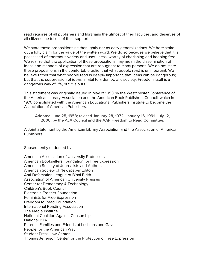read requires of all publishers and librarians the utmost of their faculties, and deserves of all citizens the fullest of their support.

We state these propositions neither lightly nor as easy generalizations. We here stake out a lofty claim for the value of the written word. We do so because we believe that it is possessed of enormous variety and usefulness, worthy of cherishing and keeping free. We realize that the application of these propositions may mean the dissemination of ideas and manners of expression that are repugnant to many persons. We do not state these propositions in the comfortable belief that what people read is unimportant. We believe rather that what people read is deeply important; that ideas can be dangerous; but that the suppression of ideas is fatal to a democratic society. Freedom itself is a dangerous way of life, but it is ours.

This statement was originally issued in May of 1953 by the Westchester Conference of the American Library Association and the American Book Publishers Council, which in 1970 consolidated with the American Educational Publishers Institute to become the Association of American Publishers.

**Adopted June 25, 1953; revised January 28, 1972, January 16, 1991, July 12, 2000, by the ALA Council and the AAP Freedom to Read Committee.**

A Joint Statement by the American Library Association and the Association of American Publishers.

Subsequently endorsed by:

American Association of University Professors American Booksellers Foundation for Free Expression American Society of Journalists and Authors American Society of Newspaper Editors Anti-Defamation League of B'nai B'rith Association of American University Presses Center for Democracy & Technology Children's Book Council Electronic Frontier Foundation Feminists for Free Expression Freedom to Read Foundation International Reading Association The Media Institute National Coalition Against Censorship National PTA Parents, Families and Friends of Lesbians and Gays People for the American Way Student Press Law Center Thomas Jefferson Center for the Protection of Free Expression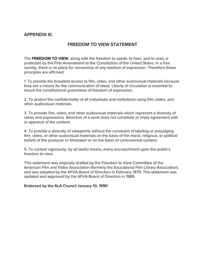#### **APPENDIX III.**

#### **FREEDOM TO VIEW STATEMENT**

The **FREEDOM TO VIEW**, along with the freedom to speak, to hear, and to read, is protected by the First Amendment to the Constitution of the United States. In a free society, there is no place for censorship of any medium of expression. Therefore these principles are affirmed:

1. To provide the broadest access to film, video, and other audiovisual materials because they are a means for the communication of ideas. Liberty of circulation is essential to insure the constitutional guarantees of freedom of expression.

2. To protect the confidentiality of all individuals and institutions using film, video, and other audiovisual materials.

3. To provide film, video, and other audiovisual materials which represent a diversity of views and expressions. Selection of a work does not constitute or imply agreement with or approval of the content.

4. To provide a diversity of viewpoints without the constraint of labeling or prejudging film, video, or other audiovisual materials on the basis of the moral, religious, or political beliefs of the producer or filmmaker or on the basis of controversial content.

5. To contest vigorously, by all lawful means, every encroachment upon the public's freedom to view.

This statement was originally drafted by the Freedom to View Committee of the American Film and Video Association (formerly the Educational Film Library Association) and was adopted by the AFVA Board of Directors in February 1979. This statement was updated and approved by the AFVA Board of Directors in 1989.

**Endorsed by the ALA Council January 10, 1990**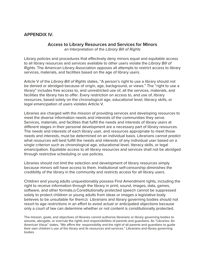#### **APPENDIX IV.**

#### **Access to Library Resources and Services for Minors** an Interpretation of the *Library Bill of Rights*

Library policies and procedures that effectively deny minors equal and equitable access to all library resources and services available to other users violate the *Library Bill of Rights.* The American Library Association opposes all attempts to restrict access to library services, materials, and facilities based on the age of library users.

Article V of the *Library Bill of Rights* states, "A person's right to use a library should not be denied or abridged because of origin, age, background, or views." The "right to use a library" includes free access to, and unrestricted use of, all the services, materials, and facilities the library has to offer. Every restriction on access to, and use of, library resources, based solely on the chronological age, educational level, literacy skills, or legal emancipation of users violates Article V.

Libraries are charged with the mission of providing services and developing resources to meet the diverse information needs and interests of the communities they serve. Services, materials, and facilities that fulfill the needs and interests of library users at different stages in their personal development are a necessary part of library resources. The needs and interests of each library user, and resources appropriate to meet those needs and interests, must be determined on an individual basis. Librarians cannot predict what resources will best fulfill the needs and interests of any individual user based on a single criterion such as chronological age, educational level, literacy skills, or legal emancipation. Equitable access to all library resources and services shall not be abridged through restrictive scheduling or use policies.

Libraries should not limit the selection and development of library resources simply because minors will have access to them. Institutional self-censorship diminishes the credibility of the library in the community and restricts access for all library users.

Children and young adults unquestionably possess First Amendment rights, including the right to receive information through the library in print, sound, images, data, games, software, and other formats.(1) Constitutionally protected speech cannot be suppressed solely to protect children or young adults from ideas or images a legislative body believes to be unsuitable for them.(2) Librarians and library governing bodies should not resort to age restrictions in an effort to avoid actual or anticipated objections because only a court of law can determine whether or not content is constitutionally protected.

The mission, goals, and objectives of libraries cannot authorize librarians or library governing bodies to assume, abrogate, or overrule the rights and responsibilities of parents and guardians. As "Libraries: An American Value" states, "We affirm the responsibility and the right of all parents and guardians to guide their own children's use of the library and its resources and services." Librarians and library governing bodies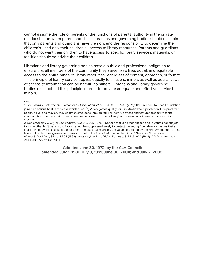cannot assume the role of parents or the functions of parental authority in the private relationship between parent and child. Librarians and governing bodies should maintain that only parents and guardians have the right and the responsibility to determine their children's—and only their children's—access to library resources. Parents and guardians who do not want their children to have access to specific library services, materials, or facilities should so advise their children.

Librarians and library governing bodies have a public and professional obligation to ensure that all members of the community they serve have free, equal, and equitable access to the entire range of library resources regardless of content, approach, or format. This principle of library service applies equally to all users, minors as well as adults. Lack of access to information can be harmful to minors. Librarians and library governing bodies must uphold this principle in order to provide adequate and effective service to minors.

#### *Note*

1. See *Brown v. Entertainment Merchant's Association, et al.* 564 U.S. 08-1448 (2011): The Freedom to Read Foundation joined an amicus brief in this case which ruled "a) Video games qualify for First Amendment protection. Like protected books, plays, and movies, they communicate ideas through familiar literary devices and features distinctive to the medium.. And 'the basic principles of freedom of speech . . . do not vary' with a new and different communication medium."

2. See *Erznoznik v. City of Jacksonville,* 422 U.S. 205 (1975): "Speech that is neither obscene as to youths nor subject to some other legitimate proscription cannot be suppressed solely to protect the young from ideas or images that a legislative body thinks unsuitable for them. In most circumstances, the values protected by the First Amendment are no less applicable when government seeks to control the flow of information to minors." See also *Tinker v. Des MoinesSchool Dist.,* 393 U.S.503 (1969); *West Virginia Bd. of Ed. v. Barnette,* 319 U.S. 624 (1943); *AAMA v. Kendrick,* 244 F.3d 572 (7th Cir. 2001).

> **Adopted June 30, 1972, by the ALA Council; amended July 1, 1981; July 3, 1991; June 30, 2004; and July 2, 2008.**